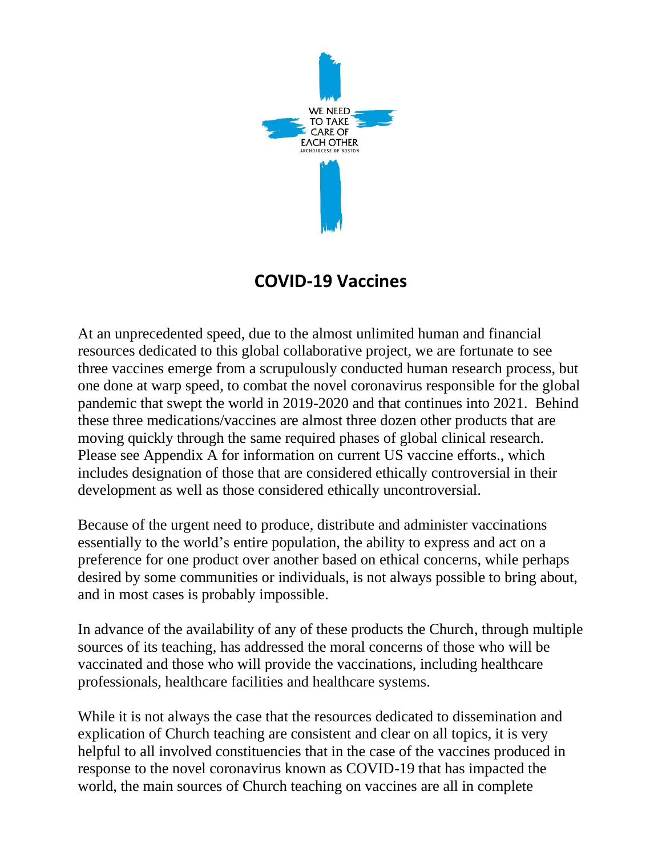

## **COVID-19 Vaccines**

At an unprecedented speed, due to the almost unlimited human and financial resources dedicated to this global collaborative project, we are fortunate to see three vaccines emerge from a scrupulously conducted human research process, but one done at warp speed, to combat the novel coronavirus responsible for the global pandemic that swept the world in 2019-2020 and that continues into 2021. Behind these three medications/vaccines are almost three dozen other products that are moving quickly through the same required phases of global clinical research. Please see Appendix A for information on current US vaccine efforts., which includes designation of those that are considered ethically controversial in their development as well as those considered ethically uncontroversial.

Because of the urgent need to produce, distribute and administer vaccinations essentially to the world's entire population, the ability to express and act on a preference for one product over another based on ethical concerns, while perhaps desired by some communities or individuals, is not always possible to bring about, and in most cases is probably impossible.

In advance of the availability of any of these products the Church, through multiple sources of its teaching, has addressed the moral concerns of those who will be vaccinated and those who will provide the vaccinations, including healthcare professionals, healthcare facilities and healthcare systems.

While it is not always the case that the resources dedicated to dissemination and explication of Church teaching are consistent and clear on all topics, it is very helpful to all involved constituencies that in the case of the vaccines produced in response to the novel coronavirus known as COVID-19 that has impacted the world, the main sources of Church teaching on vaccines are all in complete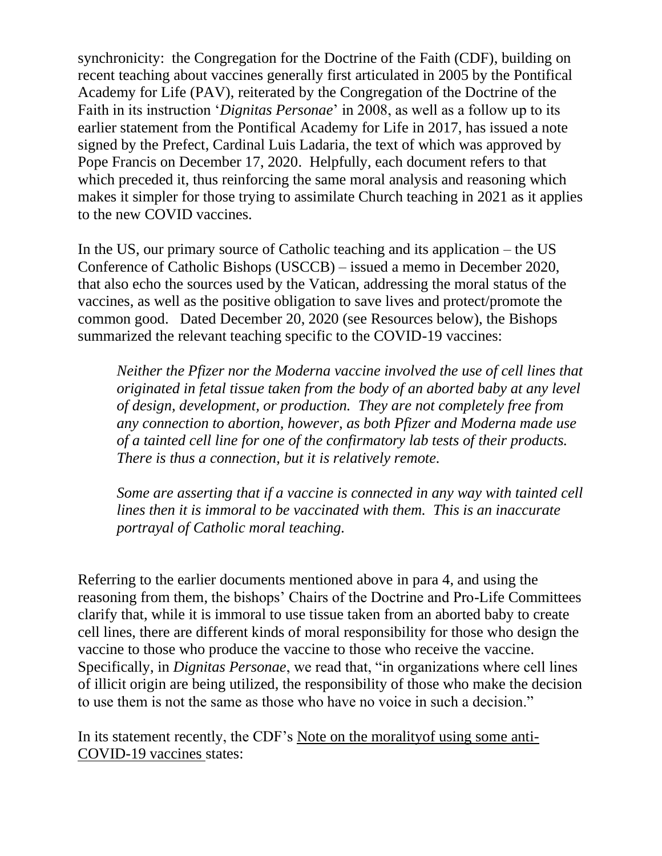synchronicity: the Congregation for the Doctrine of the Faith (CDF), building on recent teaching about vaccines generally first articulated in 2005 by the Pontifical Academy for Life (PAV), reiterated by the Congregation of the Doctrine of the Faith in its instruction '*Dignitas Personae*' in 2008, as well as a follow up to its earlier statement from the Pontifical Academy for Life in 2017, has issued a note signed by the Prefect, Cardinal Luis Ladaria, the text of which was approved by Pope Francis on December 17, 2020. Helpfully, each document refers to that which preceded it, thus reinforcing the same moral analysis and reasoning which makes it simpler for those trying to assimilate Church teaching in 2021 as it applies to the new COVID vaccines.

In the US, our primary source of Catholic teaching and its application – the US Conference of Catholic Bishops (USCCB) – issued a memo in December 2020, that also echo the sources used by the Vatican, addressing the moral status of the vaccines, as well as the positive obligation to save lives and protect/promote the common good. Dated December 20, 2020 (see Resources below), the Bishops summarized the relevant teaching specific to the COVID-19 vaccines:

*Neither the Pfizer nor the Moderna vaccine involved the use of cell lines that originated in fetal tissue taken from the body of an aborted baby at any level of design, development, or production. They are not completely free from any connection to abortion, however, as both Pfizer and Moderna made use of a tainted cell line for one of the confirmatory lab tests of their products. There is thus a connection, but it is relatively remote.*

*Some are asserting that if a vaccine is connected in any way with tainted cell lines then it is immoral to be vaccinated with them. This is an inaccurate portrayal of Catholic moral teaching.* 

Referring to the earlier documents mentioned above in para 4, and using the reasoning from them, the bishops' Chairs of the Doctrine and Pro-Life Committees clarify that, while it is immoral to use tissue taken from an aborted baby to create cell lines, there are different kinds of moral responsibility for those who design the vaccine to those who produce the vaccine to those who receive the vaccine. Specifically, in *Dignitas Personae*, we read that, "in organizations where cell lines of illicit origin are being utilized, the responsibility of those who make the decision to use them is not the same as those who have no voice in such a decision."

In its statement recently, the CDF's Note on the moralityof using some anti-COVID-19 vaccines states: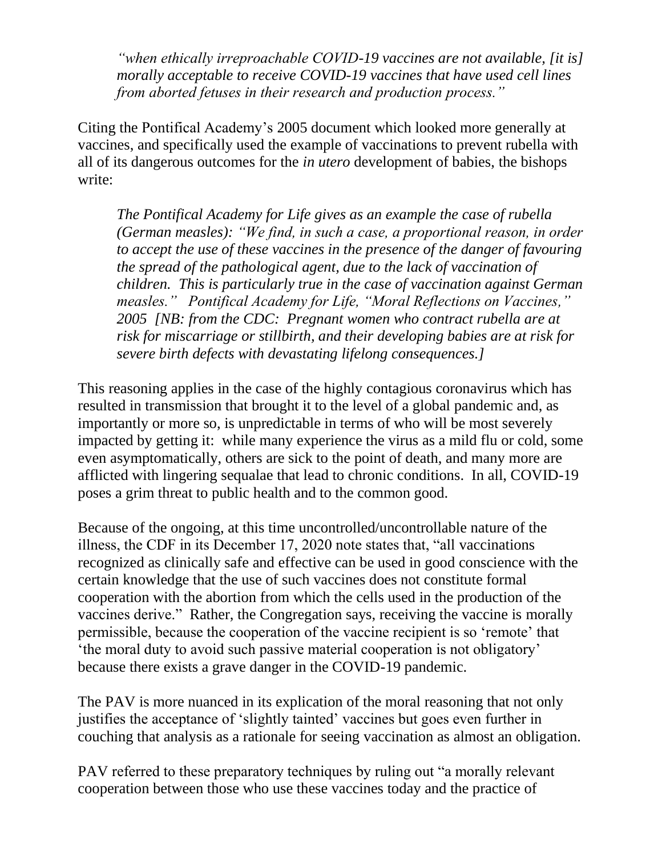*"when ethically irreproachable COVID-19 vaccines are not available, [it is] morally acceptable to receive COVID-19 vaccines that have used cell lines from aborted fetuses in their research and production process."*

Citing the Pontifical Academy's 2005 document which looked more generally at vaccines, and specifically used the example of vaccinations to prevent rubella with all of its dangerous outcomes for the *in utero* development of babies, the bishops write:

*The Pontifical Academy for Life gives as an example the case of rubella (German measles): "We find, in such a case, a proportional reason, in order to accept the use of these vaccines in the presence of the danger of favouring the spread of the pathological agent, due to the lack of vaccination of children. This is particularly true in the case of vaccination against German measles." Pontifical Academy for Life, "Moral Reflections on Vaccines," 2005 [NB: from the CDC: Pregnant women who contract rubella are at risk for miscarriage or stillbirth, and their developing babies are at risk for severe birth defects with devastating lifelong consequences.]*

This reasoning applies in the case of the highly contagious coronavirus which has resulted in transmission that brought it to the level of a global pandemic and, as importantly or more so, is unpredictable in terms of who will be most severely impacted by getting it: while many experience the virus as a mild flu or cold, some even asymptomatically, others are sick to the point of death, and many more are afflicted with lingering sequalae that lead to chronic conditions. In all, COVID-19 poses a grim threat to public health and to the common good.

Because of the ongoing, at this time uncontrolled/uncontrollable nature of the illness, the CDF in its December 17, 2020 note states that, "all vaccinations recognized as clinically safe and effective can be used in good conscience with the certain knowledge that the use of such vaccines does not constitute formal cooperation with the abortion from which the cells used in the production of the vaccines derive." Rather, the Congregation says, receiving the vaccine is morally permissible, because the cooperation of the vaccine recipient is so 'remote' that 'the moral duty to avoid such passive material cooperation is not obligatory' because there exists a grave danger in the COVID-19 pandemic.

The PAV is more nuanced in its explication of the moral reasoning that not only justifies the acceptance of 'slightly tainted' vaccines but goes even further in couching that analysis as a rationale for seeing vaccination as almost an obligation.

PAV referred to these preparatory techniques by ruling out "a morally relevant cooperation between those who use these vaccines today and the practice of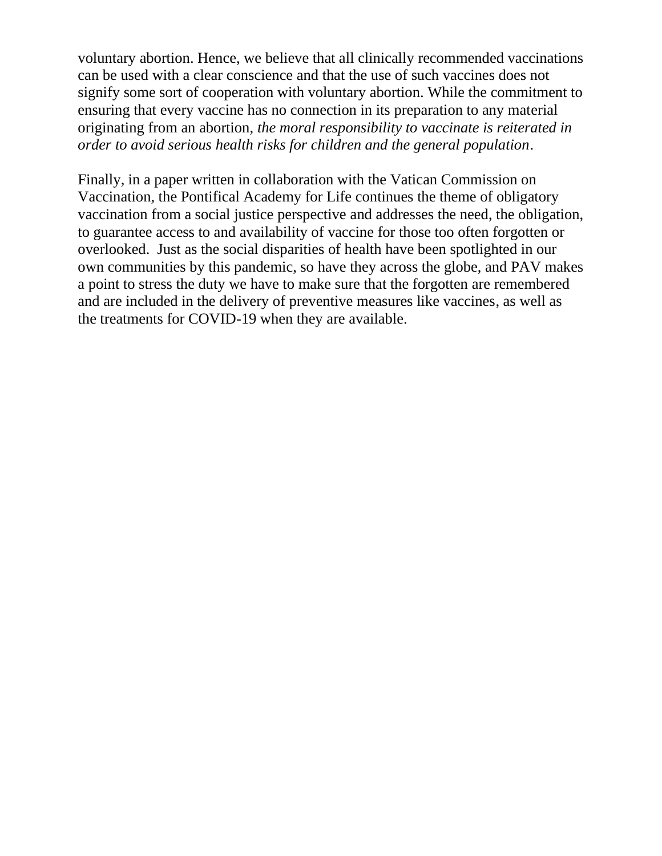voluntary abortion. Hence, we believe that all clinically recommended vaccinations can be used with a clear conscience and that the use of such vaccines does not signify some sort of cooperation with voluntary abortion. While the commitment to ensuring that every vaccine has no connection in its preparation to any material originating from an abortion, *the moral responsibility to vaccinate is reiterated in order to avoid serious health risks for children and the general population*.

Finally, in a paper written in collaboration with the Vatican Commission on Vaccination, the Pontifical Academy for Life continues the theme of obligatory vaccination from a social justice perspective and addresses the need, the obligation, to guarantee access to and availability of vaccine for those too often forgotten or overlooked. Just as the social disparities of health have been spotlighted in our own communities by this pandemic, so have they across the globe, and PAV makes a point to stress the duty we have to make sure that the forgotten are remembered and are included in the delivery of preventive measures like vaccines, as well as the treatments for COVID-19 when they are available.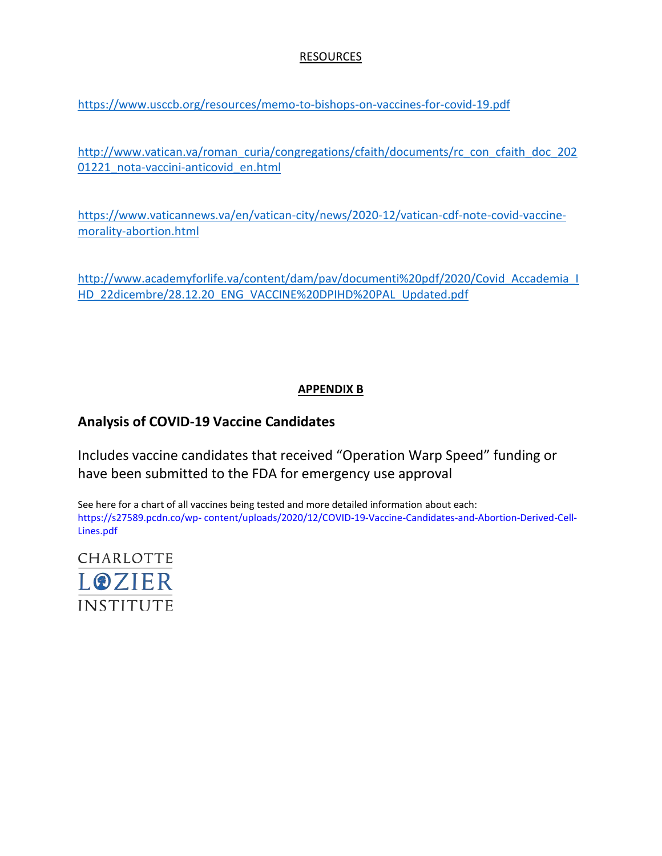#### RESOURCES

<https://www.usccb.org/resources/memo-to-bishops-on-vaccines-for-covid-19.pdf>

[http://www.vatican.va/roman\\_curia/congregations/cfaith/documents/rc\\_con\\_cfaith\\_doc\\_202](http://www.vatican.va/roman_curia/congregations/cfaith/documents/rc_con_cfaith_doc_20201221_nota-vaccini-anticovid_en.html) [01221\\_nota-vaccini-anticovid\\_en.html](http://www.vatican.va/roman_curia/congregations/cfaith/documents/rc_con_cfaith_doc_20201221_nota-vaccini-anticovid_en.html)

[https://www.vaticannews.va/en/vatican-city/news/2020-12/vatican-cdf-note-covid-vaccine](https://www.vaticannews.va/en/vatican-city/news/2020-12/vatican-cdf-note-covid-vaccine-morality-abortion.html)[morality-abortion.html](https://www.vaticannews.va/en/vatican-city/news/2020-12/vatican-cdf-note-covid-vaccine-morality-abortion.html)

[http://www.academyforlife.va/content/dam/pav/documenti%20pdf/2020/Covid\\_Accademia\\_I](http://www.academyforlife.va/content/dam/pav/documenti%20pdf/2020/Covid_Accademia_IHD_22dicembre/28.12.20_ENG_VACCINE%20DPIHD%20PAL_Updated.pdf) [HD\\_22dicembre/28.12.20\\_ENG\\_VACCINE%20DPIHD%20PAL\\_Updated.pdf](http://www.academyforlife.va/content/dam/pav/documenti%20pdf/2020/Covid_Accademia_IHD_22dicembre/28.12.20_ENG_VACCINE%20DPIHD%20PAL_Updated.pdf)

### **APPENDIX B**

#### **Analysis of COVID-19 Vaccine Candidates**

Includes vaccine candidates that received "Operation Warp Speed" funding or have been submitted to the FDA for emergency use approval

See here for a chart of all vaccines being tested and more detailed information about each: https://s27589.pcdn.co/wp- content/uploads/2020/12/COVID-19-Vaccine-Candidates-and-Abortion-Derived-Cell-Lines.pdf